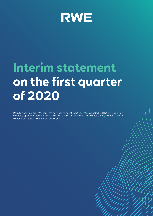

# **Interim statement on the first quarter of 2020**

Despite corona crisis, RWE confirms earnings forecast for 2020 // Q1 adjusted EBITDA of €1.3 billion markedly up year on year // Strong growth in electricity generation from renewables // Annual General Meeting postponed: virtual AGM on 26 June 2020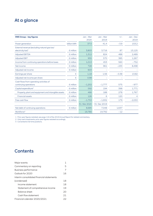# At a glance

| <b>RWE Group - key figures</b>                                                        |                    | Jan - Mar<br>2020 | Jan - Mar<br>2019 | $+/-$   | $Jan - Dec$<br>2019 |
|---------------------------------------------------------------------------------------|--------------------|-------------------|-------------------|---------|---------------------|
| Power generation                                                                      | billion kWh        | 37.5              | 41.4              | $-3.9$  | 153.2               |
| External revenue (excluding natural gas tax/<br>electricity $\text{tax}$ <sup>1</sup> | $\epsilon$ million | 3,803             | 3,716             | 87      | 13,125              |
| <b>Adjusted EBITDA</b>                                                                | $\epsilon$ million | 1,312             | 824               | 488     | 2.489               |
| <b>Adjusted EBIT</b>                                                                  | $\epsilon$ million | 955               | 570               | 385     | 1,267               |
| Income from continuing operations before taxes                                        | $\epsilon$ million | 1,013             | 453               | 560     | $-752$              |
| Net income                                                                            | $\epsilon$ million | 728               | 961               | $-233$  | 8,498               |
| Adjusted net income                                                                   | $\epsilon$ million | 603               |                   |         |                     |
| Earnings per share                                                                    | €                  | 1.18              | 1.56              | $-0.38$ | 13.82               |
| Adjusted net income per share                                                         | €                  | 0.98              |                   |         |                     |
| Cash flows from operating activities of<br>continuing operations                      | $\epsilon$ million | $-1,202$          | $-1.777$          | 575     | $-977$              |
| Capital expenditure <sup>2</sup>                                                      | $\epsilon$ million | 592               | 194               | 398     | 1,771               |
| Property, plant and equipment and intangible assets                                   | $\epsilon$ million | 466               | 188               | 278     | 1,767               |
| <b>Financial assets</b>                                                               | $\epsilon$ million | 126               | 6                 | 120     | $\overline{4}$      |
| Free cash flow                                                                        | $\epsilon$ million | $-1,753$          | $-1,932$          | 179     | $-2,053$            |
|                                                                                       |                    | 31 Mar 2020       | 31 Dec 2019       |         |                     |
| Net debt of continuing operations                                                     | $\epsilon$ million | 8,685             | 7.048             | 1,637   |                     |
| Workforce <sup>3</sup>                                                                |                    | 19,780            | 19,792            | $-12$   |                     |

1 Prior-year figures restated; see page 116 of the 2019 Annual Report for related commentary.

2 Only cash investments; prior-year figures restated accordingly.

3 Converted to full-time positions.

## **Contents**

| Major events                              |    |
|-------------------------------------------|----|
| Commentary on reporting                   | 5  |
| <b>Business performance</b>               | 7  |
| Outlook for 2020                          | 16 |
| Interim consolidated financial statements |    |
| (condensed)                               | 18 |
| Income statement                          | 18 |
| Statement of comprehensive income         | 19 |
| Balance sheet                             | 20 |
| Cash flow statement                       | 21 |
| Financial calendar 2020/2021              | フフ |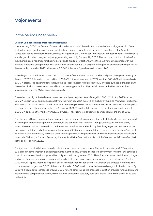## Major events

### In the period under review

#### **German Cabinet submits draft coal phaseout law**

In late January 2020, the German Cabinet adopted a draft law on the reduction and end of electricity generation from coal. In the document, the government specifies how it intends to implement the recommendations of the Growth, Structural Change and Employment Commission regarding the German coal phaseout. As proposed by the Commission, it is envisaged that Germany gradually stop generating electricity from coal by 2038. The draft law contains a timeline for this. There is also a roadmap for shutting down lignite-fired power stations, which the government has agreed with the affected states and energy companies. It envisages an additional 3 GW of lignite-fired generation capacity being taken off the market by the end of 2022, with around 2.8 GW of this total figure being allocable to RWE.

According to the draft law, we have to decommission the first 300 MW block in the Rhenish lignite mining area as early as the end of 2020, followed by three additional 300 MW units next year, and, in 2022, another 300 MW facility as well as two 600 MW blocks. The power stations in Neurath and Niederaussem will be most heavily affected by these plans, along with Weisweiler, albeit to a lesser extent. We will also be ceasing production of lignite briquettes at the Frechen site, thus decommissioning 120 MW of generation capacity.

Thereafter, capacity at the Weisweiler power station will gradually be taken off the grid: a 300 MW block in 2025 and two 600 MW units in 2028 and 2029, respectively. The Inden opencast mine, which exclusively supplies Weisweiler with lignite, will then also be closed. We will shut down our two remaining 600 MW blocks at the end of 2029, one of which will be placed on a four-year security standby starting on 1 January 2030. This will only leave our three most modern lignite units at 1,000 MW apiece on the market from 2030 onwards. They will most likely remain operational until the end of 2038.

The closures will have considerable consequences for the opencast mines. More than half of the lignite reserves approved for mining will remain underground. In addition, at the behest of the Structural Change Commission and politicians, Hambach Forest will be preserved. Of our three opencast mines in the Rhenish lignite mining region – Inden, Hambach and Garzweiler – only the third will remain operational from 2030 onwards to supply the remaining assets with fuel. As a result, we will have to fundamentally revise the plans for our opencast mining operations and recultivation activities, especially in Hambach. We filed the first set of planning documents with the Economics Ministry of the State of North Rhine-Westphalia at the end of February 2020.

The lignite phaseout will place a considerable financial burden on our company. The draft law envisages RWE receiving €2.6 billion in compensation in equal instalments over the next 15 years. The federal government finds that this satisfies all our claims. However, the damage we will actually incur will clearly exceed €2.6 billion. The compensation claim and a large part of the expected burden were already reflected in last year's consolidated financial statements (see page 43 of the 2019 Annual Report). Intended recipients of state compensation in addition to RWE include the affected workforce. The current plan envisages over 3,000 of the approximately 10,000 jobs in our lignite business being cut in the short term. By 2030, this figure could increase to around 6,000. Among other things, the proposed legislation provides for an adjustment allowance and compensation for any disadvantages concerning statutory pensions. It is envisaged that these will be paid by the state.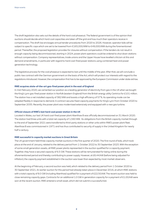The draft legislation also sets out the details of the hard coal phaseout. The federal government is of the opinion that auctions should decide which hard coal capacities are taken off the grid and how much their operators receive in compensation. The draft law envisages annual tender procedures from 2020 to 2026. However, operator bids will be subject to specific caps which are set to be lowered from €165,000/MW to €49,000/MW during the forementioned period. Thereafter, the proposed legislation provides for closures without compensation. If the tenders do not result in enough capacity being decommissioned, starting in 2024, power plant operators could be ordered to shut down stations without compensation. Company representatives, trade unions and the Upper House have levelled criticism at this and demand amendments, in particular with regard to hard coal-fired power stations using combined heat and power generation technology.

The legislative process for the coal phaseout is expected to last until the middle of the year. After that, we will conclude a public-law contract with the German government on the basis of the Act, which will protect our interests with regard to the regulations introduced. However, the compensation first has to be approved by the European Commission under state aid law.

#### **RWE acquires state-of-the-art gas-fired power plant in the east of England**

In mid-February 2020, we cemented our position as a leading generator of electricity from gas in the UK when we bought the King's Lynn gas-fired power station in Norfolk (eastern England) from the British energy utility Centrica for £101 million. The station has a net installed capacity of 382 MW and boasts a high efficiency of 57 %. Its operating mode can be adapted flexibly in response to demand. A contract secures fixed capacity payments for King's Lynn from October 2020 to September 2035. Recently, the power plant was modernised extensively and equipped with a new gas turbine.

#### **Official closure of RWE's last hard coal power station in the UK**

Located in Wales, our last UK hard coal-fired power plant Aberthaw B was officially decommissioned on 31 March 2020. The station had three units with a total net capacity of 1,560 MW. Its obligations from the British capacity market through to the end of September 2021 were transferred to third-party stations or other units within RWE's power plant fleet. Aberthaw B was commissioned in 1971 and has thus contributed to security of supply in the United Kingdom for nearly half a century.

#### **RWE successful in capacity market auctions in Great Britain**

The UK government held three capacity market auctions in the first quarter of 2020. The first round of bids, which took place at the end of January, related to the delivery period from 1 October 2022 to 30 September 2023. With the exception of some small generation assets, all RWE power plants represented in the auction qualified for a capacity payment. Together, they have a secured capacity of 6.5 GW. These stations will be remunerated for being online during the aforementioned period and thereby contributing to power supply. However, at £6.44/kW (before being adjusted for inflation), the capacity payment established in the auction was lower than expected by most market observers.

At the beginning of February, a second auction was held, which related to the delivery period from 1 October 2020 to 30 September 2021. An earlier auction for this period had already taken place in December 2016, at which RWE stations with a total capacity of 8.0 GW (including Aberthaw) qualified for a payment of £22.50/kW. The recent auction was held to close remaining capacity gaps. Contracts for an additional 1.0 GW in generation capacity for a payment of £1.00/kW were won at the recent auction. RWE entered a small asset, which did not submit a successful bid.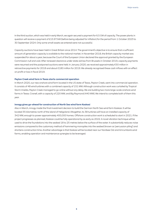In the third auction, which was held in early March, we again secured a payment for 6.5 GW of capacity. The power plants in question will receive a payment of £15.97/kW (before being adjusted for inflation) for the period from 1 October 2023 to 30 September 2024. Only some small assets we entered were not successful.

Capacity auctions have been held in Great Britain since 2014. The government's objective is to ensure that a sufficient amount of generation capacity is available to the national market. In November 2018, the British capacity market was suspended for about a year, because the Court of the European Union declared the approval granted by the European Commission null and void. After renewed clearance under state aid law from Brussels in October 2019, capacity payments were resumed and the postponed auctions were held. In January 2020, we received approximately €50 million in retroactive payments for 2018 and about €180 million for 2019. We already recognised these cash inflows with an effect on profit or loss in fiscal 2019.

#### **Peyton Creek wind farm in Texas starts commercial operation**

In March 2020, our new onshore wind farm located in the US state of Texas, Peyton Creek, went into commercial operation. It consists of 48 wind turbines with a combined capacity of 151 MW. Although construction work was curtailed by Tropical Storm Imelda, Peyton Creek managed to go online without any delay. We are building two more large-scale onshore wind farms in Texas: Cranell, with a capacity of 220 MW, and Big Raymond (440 MW). We intend to complete both of them this year.

#### **innogy gives go-ahead for construction of North Sea wind farm Kaskasi**

Also in March, innogy made the final investment decision to build the German North Sea wind farm Kaskasi. It will be located 35 kilometres north of the island of Heligoland. Altogether, its 38 turbines will have an installed capacity of 342 MW, enough to power approximately 400,000 homes. Offshore construction work is scheduled to start in 2021. If the project progresses as planned, Kaskasi could be fully operational by as early as 2022. A novel vibration technique will be used to drive the foundations into the seabed 18 to 25 metres below the surface of the water. It substantially reduces noise emissions compared to the customary method of hammering monopiles into the seabed (known as 'percussion piling') and shortens construction time. Another advantage is that Kaskasi will be located near our Nordsee Ost and Amrumbank wind farms, enabling operation and maintenance synergies to be leveraged.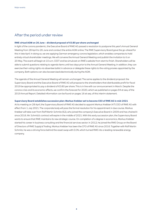### After the period under review

#### **RWE virtual AGM on 26 June – dividend proposal of €0.80 per share unchanged**

In light of the corona pandemic, the Executive Board of RWE AG passed a resolution to postpone this year's Annual General Meeting from 28 April to 26 June and conduct the entire AGM online. The RWE Supervisory Board gave the go-ahead for this in late April. In doing so, we are applying German emergency corona legislation, which enables companies to hold entirely virtual shareholder meetings. We will convene the Annual General Meeting and publish the invitation to it on 20 May. The event will begin at 10 a.m. CEST and be simulcast on RWE's website from start to finish. Shareholders will be able to submit questions relating to agenda items until two days prior to the Annual General Meeting. In addition, they can exercise their voting rights via absentee ballot in advance or delegate these rights to the voting proxies appointed by the company. Both options can also be exercised electronically during the AGM.

The agenda of the Annual General Meeting will remain unchanged. The same applies to the dividend proposal: the Supervisory Board and the Executive Board of RWE AG will propose to the shareholders that distributable profit for fiscal 2019 be appropriated to pay a dividend of €0.80 per share. This is in line with our announcement in March. Despite the corona crisis and its economic effects, we confirm the forecast for 2020, which we published on pages 94 et seq. of the 2019 Annual Report. Detailed information can be found on pages 16 et seq. of this interim statement.

#### **Supervisory Board establishes succession plan: Markus Krebber set to become CEO of RWE AG in mid-2021**

At its meeting on 28 April, the Supervisory Board of RWE AG decided to appoint Markus Krebber (47) CEO of RWE AG with effect from 1 July 2021. The corporate body will pass the formal resolution for his appointment in due course. Markus Krebber will take over from Rolf Martin Schmitz (62), who joined the company's Executive Board in 2009 and has chaired it since 2016. Mr. Schmitz's contract will expire in the middle of 2021. With this early succession plan, the Supervisory Board wants to ensure that RWE maintains its new strategic course. On completion of a degree in economics, Markus Krebber started his career in business consulting and the financial services sector. In 2012, he joined the RWE Group on the Board of Directors of RWE Supply & Trading. Markus Krebber has been the CFO of RWE AG since 2016. Together with Rolf Martin Schmitz, he was a driving force behind the asset swap with E.ON, which turned RWE into a leading renewable energy company.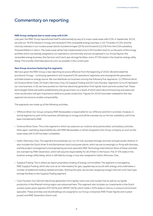## Commentary on reporting

#### **RWE Group realigned due to asset swap with E.ON**

Last year, the RWE Group repositioned itself fundamentally by way of a major asset swap with E.ON. In September 2019, we sold our 76.8 % interest in innogy and received E.ON's renewable energy business, a 16.7 % stake in E.ON, and the minority interests in our nuclear power plants Gundremmingen (25 %) and Emsland (12.5 %) from the E.ON subsidiary PreussenElektra in return. The asset swap will be fully implemented once E.ON transfers back to us the parts of the innogy portfolio which are already assigned to our operations commercially and are recognised in our Group figures: the renewable energy business, the German and Czech gas storage facilities, and a 37.9 % stake in the Austrian energy utility Kelag. This transfer shall take place as soon as possible in the current year.

#### **New Group structure featuring five segments**

We have given the RWE Group a new reporting structure effective from the beginning of 2020. We eliminated the provisional 'innogy – continuing operations' and 'acquired E.ON operations' segments and reassigned the generation activities based on energy source. We now distribute our business among the following five segments: (1) Offshore Wind, (2) Onshore Wind / Solar, (3) Hydro / Biomass / Gas, (4) Supply & Trading and (5) Coal / Nuclear. Segments (1) to (4) represent our core business. In (5), we have pooled our German electricity generation from lignite, hard coal and nuclear fuel. These technologies follow exit paths established by the government, as a result of which plant decommissioning and opencast mine recultivation will gain importance relative to power production. Figures for 2019 have been adapted to the new segment structure to enable comparability.

The segments are made up of the following activities:

- Offshore Wind: Our Group company RWE Renewables is responsible for our offshore wind farm activities. However, in strictly legal terms, part of this business still belongs to innogy and will be overseen by our former subsidiary until it has been transferred to RWE.
- Onshore Wind / Solar: This is the segment in which we subsume our onshore wind, photovoltaic and battery activities. Here again, operating responsibility lies with RWE Renewables or will be assigned to this Group company as soon as the asset swap with E.ON has been completed.
- Hydro / Biomass / Gas: This segment encompasses our run-of-river, pumped storage, biomass and gas power stations. It also includes the Dutch Amer 9 and Eemshaven hard coal power plants, which we are increasingly co-firing with biomass, and the project management and engineering services specialist RWE Technology International. Most of these activities are overseen by RWE Generation, which will assume responsibility for all of them in the future. The 37.9 % stake in the Austrian energy utility Kelag, which is still held by innogy, is now also assigned to Hydro / Biomass / Gas.
- Supply & Trading: This is where we report proprietary trading of energy commodities. The segment is managed by RWE Supply & Trading, which also acts as an intermediary for gas, supplies key accounts with energy, and undertakes a number of additional trading-related activities. Starting this year, we are also assigning innogy's German and Czech gas storage facilities to the Supply & Trading segment.
- Coal / Nuclear: Our German electricity generation from lignite, hard coal, and nuclear fuel as well as our lignite production in the Rhenish mining region are subsumed here. This segment also includes our investments in the Dutch nuclear power plant operator EPZ (30 %) and URANIT (50 %), which holds a 33 % stake in Urenco, a uranium enrichment specialist. These activities and shareholdings are assigned to our Group companies RWE Power (lignite and nuclear power) and RWE Generation (hard coal).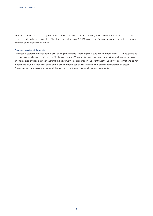Group companies with cross-segment tasks such as the Group holding company RWE AG are stated as part of the core business under 'other, consolidation'. This item also includes our 25.1 % stake in the German transmission system operator Amprion and consolidation effects.

#### **Forward-looking statements**

This interim statement contains forward-looking statements regarding the future development of the RWE Group and its companies as well as economic and political developments. These statements are assessments that we have made based on information available to us at the time this document was prepared. In the event that the underlying assumptions do not materialise or unforeseen risks arise, actual developments can deviate from the developments expected at present. Therefore, we cannot assume responsibility for the correctness of forward-looking statements.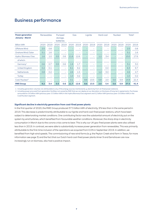## Business performance

| <b>Power generation</b><br><b>January - March</b> |      | Renewables |      | Pumped<br>storage,<br><b>batteries</b> |      | Gas                      |      | Lignite                  | Hard coal |      | <b>Nuclear</b> |                          |      | Total <sup>1</sup> |
|---------------------------------------------------|------|------------|------|----------------------------------------|------|--------------------------|------|--------------------------|-----------|------|----------------|--------------------------|------|--------------------|
| <b>Billion kWh</b>                                | 2020 | 2019       | 2020 | 2019                                   | 2020 | 2019                     | 2020 | 2019                     | 2020      | 2019 | 2020           | 2019                     | 2020 | 2019               |
| Offshore Wind                                     | 2.5  | 0.8        |      |                                        |      |                          |      |                          |           |      |                | $\overline{\phantom{0}}$ | 2.5  | 0.8                |
| Onshore Wind / Solar                              | 5.1  | 1.6        |      | $\overline{\phantom{0}}$               |      |                          |      | ۰                        |           | -    |                | $\overline{\phantom{0}}$ | 5.1  | 1.6                |
| Hydro / Biomass / Gas                             | 1.6  | 1.0        | 0.5  | 0.6                                    | 11.6 | 12.6                     |      | ۰                        | 1.2       | 3.4  |                | $\overline{\phantom{a}}$ | 15.0 | 17.6               |
| of which:                                         |      |            |      |                                        |      |                          |      |                          |           |      |                |                          |      |                    |
| Germany <sup>2</sup>                              | 0.6  | 0.7        | 0.5  | 0.6                                    | 1.9  | 1.7                      |      |                          |           |      |                | $\overline{\phantom{a}}$ | 3.1  | 3.0                |
| United Kingdom                                    | 0.2  | 0.1        | Ξ.   | $\overline{\phantom{0}}$               | 6.1  | 9.2                      |      | $\overline{\phantom{0}}$ |           | 0.4  | $-$            | $\equiv$                 | 6.3  | 9.7                |
| <b>Netherlands</b>                                | 0.8  | 0.2        |      | $\overline{\phantom{0}}$               | 2.6  | 1.5                      |      | -                        | 1.2       | 3.0  |                | -                        | 4.6  | 4.7                |
| <b>Turkey</b>                                     |      | -          |      | $\overline{\phantom{m}}$               | 1.0  | 0.2                      |      |                          |           | -    |                | $\overline{\phantom{0}}$ | 1.0  | 0.2                |
| Coal/Nuclear <sup>2</sup>                         |      | -          |      | $\overline{\phantom{a}}$               | 0.1  | $\overline{\phantom{m}}$ | 8.6  | 13.5                     | 0.8       | 2.0  | 5.6            | 5.9                      | 14.9 | 21.4               |
| <b>RWE Group</b>                                  | 9.2  | 3.4        | 0.5  | 0.6                                    | 11.7 | 12.6                     | 8.6  | 13.5                     | 2.0       | 5.4  | 5.6            | 5.9                      | 37.5 | 41.4               |

1 Including generation volumes not attributable to any of the energy sources mentioned (e. g. electricity from oil-fired power stations).

2 Including power procured from generation facilities not owned by RWE that we can deploy at our discretion on the basis of long-term agreements. Purchases amounted to 0.6 billion kWh (previous year: 0.5 billion kWh) In the Hydro/Biomass/Gas segment and 0.2 billion kWh (previous year: 0.6 billion kWh) in the Coal/Nuclear segment.

#### **Significant decline in electricity generation from coal-fired power plants**

In the first quarter of 2020, the RWE Group produced 37.5 billion kWh of electricity, 9% less than in the same period in 2019. This decrease is predominantly attributable to our lignite and hard coal-fired power stations, which have been subject to deteriorating market conditions. One contributing factor was the substantial amount of electricity put on the system by wind turbines, which benefited from favourable weather conditions. Moreover, the sharp drop in electricity consumption in March due to the corona crisis came to bear. This is why our UK gas-fired power plants were also utilised less than in 2019. In contrast, we were able to substantially increase power generation from renewables. This was primarily attributable to the first-time inclusion of the operations we acquired from E.ON in September 2019. In addition, we benefited from high wind speeds. The commissioning of new wind farms (e. g. the Peyton Creek wind farm in Texas; for more information see page 3) and the fact that our Dutch hard coal-fired power plants Amer 9 and Eemshaven are now increasingly run on biomass, also had a positive impact.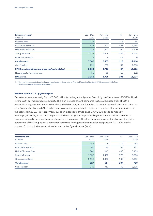| External revenue <sup>1</sup><br>$\epsilon$ million          | $Jan - Mar$<br>2020 | $Jan - Mar$<br>2019 | $+/-$  | $Jan - Dec$<br>2019 |
|--------------------------------------------------------------|---------------------|---------------------|--------|---------------------|
| Offshore Wind                                                | 118                 |                     | 118    | 85                  |
| Onshore Wind / Solar                                         | 628                 | 301                 | 327    | 1,265               |
| Hydro/Biomass/Gas                                            | 312                 | 252                 | 60     | 1,200               |
| Supply & Trading                                             | 2,522               | 2,904               | $-382$ | 9,554               |
| Other, consolidation                                         | $\overline{2}$      | 6                   | $-4$   | 6                   |
| <b>Core business</b>                                         | 3,582               | 3,463               | 119    | 12,110              |
| Coal/Nuclear                                                 | 221                 | 253                 | $-32$  | 1,015               |
| <b>RWE Group (excluding natural gas tax/electricity tax)</b> | 3,803               | 3,716               | 87     | 13,125              |
| Natural gas tax/electricity tax                              | 55                  | 39                  | 16     | 152                 |
| <b>RWE Group</b>                                             | 3,858               | 3,755               | 103    | 13,277              |

1 Prior-year figures restated due to change in application of International Financial Reporting Standards (IFRS); see page 116 of the 2019 Annual Report for related commentary.

#### **External revenue 2 % up year on year**

Our external revenue rose by 2% to €3,803 million (excluding natural gas tax/electricity tax). We achieved €3,393 million in revenue with our main product, electricity. This is an increase of 19 % compared to 2019. The acquisition of E.ON's renewable energy business came to bear here, which had not yet contributed to the Group's revenue in the same period last year. Conversely, at around €148 million, our gas revenue only accounted for about a quarter of the income achieved in this segment in 2019. This was primarily due to an exceptional effect: since 1 July 2019, gas sales made by RWE Supply & Trading in the Czech Republic have been recognised as pure trading transactions and are therefore no longer considered in revenue. One indicator, which is increasingly attracting the attention of sustainable investors, is the percentage of the Group revenue accounted for by coal-fired generation and other coal products. At 21 % in the first quarter of 2020, this share was below the comparable figure in 2019 (26 %).

| Internal revenue<br>$\epsilon$ million | Jan - Mar<br>2020 | Jan - Mar<br>2019 | $+/-$  | $Jan - Dec$<br>2019 |
|----------------------------------------|-------------------|-------------------|--------|---------------------|
| Offshore Wind                          | 343               | 169               | 174    | 682                 |
| Onshore Wind / Solar                   | 86                | 49                | 37     | 271                 |
| Hydro / Biomass / Gas                  | 881               | 947               | $-66$  | 3,409               |
| Supply & Trading                       | 1,032             | 1,402             | $-370$ | 3,266               |
| Other, consolidation                   | $-2,115$          | $-1,953$          | $-162$ | $-6,900$            |
| <b>Core business</b>                   | 227               | 614               | $-387$ | 728                 |
| Coal/Nuclear                           | 779               | 733               | 46     | 2,385               |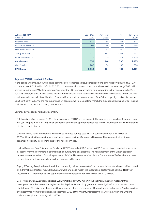| <b>Adjusted EBITDA</b><br>$\epsilon$ million | Jan - Mar<br>2020 | $Jan - Mar$<br>2019 | $+/-$  | $Jan - Dec$<br>2019 |
|----------------------------------------------|-------------------|---------------------|--------|---------------------|
| Offshore Wind                                | 431               | 164                 | 267    | 614                 |
| Onshore Wind / Solar                         | 209               | 88                  | 121    | 295                 |
| Hydro / Biomass / Gas                        | 217               | 112                 | 105    | 672                 |
| Supply & Trading                             | 170               | 271                 | $-101$ | 731                 |
| Other, consolidation                         | 3                 | 5                   | $-2$   | $-129$              |
| <b>Core business</b>                         | 1,030             | 640                 | 390    | 2,183               |
| Coal/Nuclear                                 | 282               | 184                 | 98     | 306                 |
| <b>RWE Group</b>                             | 1,312             | 824                 | 488    | 2,489               |

#### **Adjusted EBITDA rises to €1.3 billion**

In the period under review, our adjusted earnings before interest, taxes, depreciation and amortisation (adjusted EBITDA) amounted to €1,312 million. Of this, €1,030 million was attributable to our core business, with the remaining €282 million coming from the Coal / Nuclear segment. Our adjusted EBITDA surpassed the figure recorded in the same period in 2019 by €488 million, or 59 %, in part due to the first-time inclusion of the renewables business that we acquired from E.ON. The considerable increase in the utilisation of our wind farms and the reinstatement of the British capacity market also made a significant contribution to the rise in earnings. By contrast, we were unable to match the exceptional earnings of our trading business in 2019, despite a strong performance.

Earnings developed as follows by segment:

- Offshore Wind: We recorded €431 million in adjusted EBITDA in this segment. This represents a significant increase over last year's figure (€164 million), which did not yet contain the operations acquired from E.ON. Favourable wind conditions also had a major impact.
- Onshore Wind / Solar: Here too, we were able to increase our adjusted EBITDA substantially, by €121 million to €209 million, with the same factors coming into play as in the offshore wind business. The commissioning of new generation capacity also contributed to the rise in earnings.
- Hydro / Biomass / Gas: This segment's adjusted EBITDA rose by €105 million to €217 million, in part due to the increase in income from the commercial optimisation of our power plant dispatch. The reinstatement of the British capacity market also came to bear. Capacity payments of €42 million were received for the first quarter of 2020, whereas these payments were still suspended during the same period last year.
- Supply & Trading: Despite the sudden fall in commodity prices as a result of the corona crisis, our trading activities posted an extremely satisfactory result. However, we were unable to match the exceptional performance achieved last year. Adjusted EBITDA recorded by this segment therefore decreased by €101 million to €170 million.
- Coal / Nuclear: At €282 million, adjusted EBITDA improved by €98 million in this segment. The main reason for this development was that we realised higher wholesale prices for electricity generated by our lignite-fired and nuclear power plants than in 2019. We had already sold forward nearly all of the production of these plants in earlier years. Another positive effect stemmed from our acquisition in September 2019 of the minority interests in the Gundremmingen and Emsland nuclear power plants previously held by E.ON.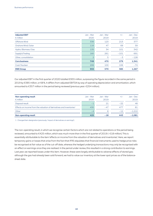| <b>Adjusted EBIT</b><br>$\epsilon$ million | Jan - Mar<br>2020 | $Jan - Mar$<br>2019 | $+/-$  | $Jan - Dec$<br>2019 |
|--------------------------------------------|-------------------|---------------------|--------|---------------------|
| Offshore Wind                              | 336               | 123                 | 213    | 377                 |
| Onshore Wind / Solar                       | 116               | 47                  | 69     | 59                  |
| Hydro / Biomass / Gas                      | 135               | 34                  | 101    | 342                 |
| Supply & Trading                           | 160               | 261                 | $-101$ | 691                 |
| Other, consolidation                       | $\overline{2}$    | 5                   | $-3$   | $-128$              |
| <b>Core business</b>                       | 749               | 470                 | 279    | 1,341               |
| Coal/Nuclear                               | 206               | 100                 | 106    | $-74$               |
| <b>RWE Group</b>                           | 955               | 570                 | 385    | 1,267               |

Our adjusted EBIT in the first quarter of 2020 totalled €955 million, surpassing the figure recorded in the same period in 2019 by €385 million, or 68 %. It differs from adjusted EBITDA by way of operating depreciation and amortisation, which amounted to €357 million in the period being reviewed (previous year: €254 million).

| <b>Non-operating result</b><br>$\epsilon$ million                                | $Jan - Mar$<br>2020 | Jan – Mar<br>2019 | $+/-$ | Jan – Dec<br>2019 |
|----------------------------------------------------------------------------------|---------------------|-------------------|-------|-------------------|
| Disposal result                                                                  | in 19               | 21                | $-22$ | 48                |
| Effects on income from the valuation of derivatives and inventories <sup>1</sup> | 430                 | $-47$             | 477   | 81                |
| Other                                                                            | $-4$                | 8                 | $-12$ | $-1.210$          |
| <b>Non-operating result</b>                                                      | 425                 | $-18$             | 443   | $-1.081$          |

1 Changed item designation (previously: 'impact of derivatives on earnings').

The non-operating result, in which we recognise certain factors which are not related to operations or the period being reviewed, amounted to €425 million, which was much more than in the first quarter of 2019 (-€18 million). This is essentially attributable to the item 'effects on income from the valuation of derivatives and inventories'. Here, we report temporary gains or losses that arise from the fact that IFRS stipulates that financial instruments used to hedge price risks be recognised at fair value as of the cut-off date, whereas the hedged underlying transactions may only be recognised with an effect on earnings once they are realised. In the period under review, this resulted in a strong contribution to earnings. Last year, we reported losses under this item. However, these were largely attributable to adverse effects of stored gas: although the gas had already been sold forward, we had to value our inventory at the lower spot prices as of the balancesheet date.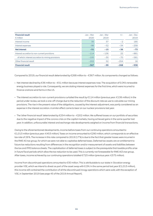| <b>Financial result</b><br>$\epsilon$ million     | $Jan - Mar$<br>2020 | $Jan - Mar$<br>2019 | $+/-$  | $Jan - Dec$<br>2019 |
|---------------------------------------------------|---------------------|---------------------|--------|---------------------|
| Interest income                                   | 35                  | 37                  | $-2$   | 185                 |
| Interest expenses                                 | $-86$               | $-52$               | $-34$  | $-258$              |
| <b>Net interest</b>                               | $-51$               | $-15$               | $-36$  | $-73$               |
| Interest accretion to non-current provisions      | $-114$              | $-136$              | 22     | $-881$              |
| of which: Interest accretion to mining provisions | $-100$              | $-30$               | $-70$  | $-581$              |
| Other financial result                            | $-202$              | 52                  | $-254$ | 16                  |
| <b>Financial result</b>                           | $-367$              | $-99$               | $-268$ | $-938$              |

Compared to 2019, our financial result deteriorated by €268 million to – €367 million. Its components changed as follows:

- Net interest declined by €36 million to – €51 million because interest expenses rose. The acquisition of E.ON's renewable energy business played a role. Consequently, we are stating interest expenses for the first time, which were incurred to finance onshore wind farms in the US.
- The interest accretion to non-current provisions curtailed the result by €114 million (previous year: €136 million). In the period under review, we took a one-off charge due to the reduction of the discount rate we use to calculate our mining provisions. The rise in the present value of the obligations, caused by the interest adjustment, was partly considered as an expense in the interest accretion. A similar effect came to bear on our nuclear provisions last year.
- The 'other financial result' deteriorated by €254 million to – €202 million. We suffered losses on our portfolio of securities due to the negative impact of the corona crisis on the capital markets, having achieved gains in the same quarter last year. In addition, unfavourable interest and exchange rate developments weighed on income from financial transactions.

Owing to the aforementioned developments, income before taxes from our continuing operations amounted to €1,013 million (previous year: €453 million). Taxes on income amounted to €290 million, which corresponds to an effective tax rate of 29 %. The increase in this rate compared to 2019 (17 %) is due to the fact that greater losses were incurred in the RWE AG tax group, for which we were not able to capitalise deferred taxes. Deferred tax assets are an entitlement to future tax reductions resulting from differences in the recognition and/or measurement of assets and liabilities between the tax and IFRS balance sheets. The capitalisation of deferred taxes is subject to the prerequisite that taxable profits arise in future fiscal periods which allow the tax reduction to be used. This is currently not foreseeable for RWE AG's tax group. After taxes, income achieved by our continuing operations totalled €723 million (previous year: €375 million).

Income from discontinued operations amounted to €30 million. This is attributable to our stake in Slovakian energy provider VSE, which we intend to divest as part of the asset swap with E.ON. In the same period last year (€1,013 million), this income still contained the contribution of all the discontinued innogy operations which were sold, with the exception of VSE, in September 2019 (see page 45 of the 2019 Annual Report).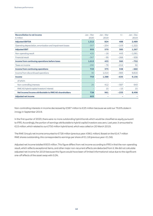| <b>Reconciliation to net income</b><br>$\epsilon$ million  | Jan - Mar<br>2020 | Jan - Mar<br>2019 | $+/-$  | Jan - Dec<br>2019 |
|------------------------------------------------------------|-------------------|-------------------|--------|-------------------|
| <b>Adjusted EBITDA</b>                                     | 1,312             | 824               | 488    | 2,489             |
| Operating depreciation, amortisation and impairment losses | $-357$            | $-254$            | $-103$ | $-1,222$          |
| <b>Adjusted EBIT</b>                                       | 955               | 570               | 385    | 1,267             |
| Non-operating result                                       | 425               | $-18$             | 443    | $-1,081$          |
| <b>Financial result</b>                                    | $-367$            | $-99$             | $-268$ | $-938$            |
| Income from continuing operations before taxes             | 1,013             | 453               | 560    | $-752$            |
| Taxes on income                                            | $-290$            | $-78$             | $-212$ | 92                |
| <b>Income from continuing operations</b>                   | 723               | 375               | 348    | -660              |
| Income from discontinued operations                        | 30                | 1,013             | $-983$ | 9,816             |
| Income                                                     | 753               | 1,388             | $-635$ | 9,156             |
| of which:                                                  |                   |                   |        |                   |
| Non-controlling interests                                  | 25                | 412               | $-387$ | 643               |
| RWE AG hybrid capital investors' interest                  |                   | 15                | $-15$  | 15                |
| Net income/income attributable to RWE AG shareholders      | 728               | 961               | $-233$ | 8,498             |
| <b>Adjusted net income</b>                                 | 603               |                   |        |                   |

Non-controlling interests in income decreased by €387 million to €25 million because we sold our 76.8 % stake in innogy in September 2019.

In the first quarter of 2020, there were no more outstanding hybrid bonds which would be classified as equity pursuant to IFRS. Accordingly, the portion of earnings attributable to hybrid capital investors was zero. Last year, it amounted to €15 million, which related to our £750 million hybrid bond, which was called on 20 March 2019.

The RWE Group's net income amounted to €728 million (previous year: €961 million). Based on the 614.7 million RWE shares outstanding, this corresponded to earnings per share of €1.18 (previous year: €1.56).

Adjusted net income totalled €603 million. This figure differs from net income according to IFRS in that the non-operating result, which reflects exceptional items, and other major non-recurrent effects are deducted from it. We did not calculate adjusted net income for 2019 because this figure would have been of limited informational value due to the significant one-off effects of the asset swap with E.ON.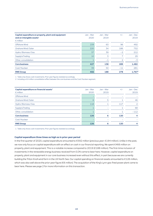| Capital expenditure on property, plant and equipment<br>and on intangible assets $1$<br>$\epsilon$ million | $Jan - Mar$<br>2020 | Jan - Mar<br>2019 | $+/-$          | $Jan - Dec$<br>2019 |
|------------------------------------------------------------------------------------------------------------|---------------------|-------------------|----------------|---------------------|
| Offshore Wind                                                                                              | 159                 | 63                | 96             | 492                 |
| Onshore Wind / Solar                                                                                       | 220                 | 34                | 186            | 752                 |
| Hydro / Biomass / Gas                                                                                      | 37                  | 39                | $-2$           | 212                 |
| Supply & Trading                                                                                           | 10                  | 3                 |                | 29                  |
| Other, consolidation                                                                                       |                     | $-1$              | $\overline{2}$ | $-3$                |
| <b>Core business</b>                                                                                       | 427                 | 138               | 289            | 1,482               |
| Coal/Nuclear                                                                                               | 39                  | 50                | $-11$          | 281                 |
| <b>RWE Group</b>                                                                                           | 466                 | 188               | 278            | 1,767 <sup>2</sup>  |

1 Table only shows cash investments. Prior-year figures restated accordingly.

2 Including a €4 million consolidation effect between the core business and the Coal / Nuclear segment.

| Capital expenditure on financial assets <sup>1</sup><br>$\epsilon$ million | Jan - Mar<br>2020 | Jan - Mar<br>2019 | $+/-$ | $Jan - Dec$<br>2019 |
|----------------------------------------------------------------------------|-------------------|-------------------|-------|---------------------|
| Offshore Wind                                                              |                   |                   |       |                     |
| Onshore Wind / Solar                                                       | 6                 | 5                 |       | 46                  |
| Hydro / Biomass / Gas                                                      | 118               |                   | 117   | $\overline{2}$      |
| Supply & Trading                                                           |                   |                   |       | 68                  |
| Other, consolidation                                                       |                   |                   |       | $-112$              |
| <b>Core business</b>                                                       | 126               | 6                 | 120   | 4                   |
| Coal/Nuclear                                                               |                   |                   |       |                     |
| <b>RWE Group</b>                                                           | 126               | 6                 | 120   | 4                   |

1 Table only shows cash investments. Prior-year figures restated accordingly.

#### **Capital expenditure three times as high as in prior-year period**

In the first quarter of 2020, capital expenditure amounted to €592 million (previous year: €194 million). Unlike in the past, we now only focus on capital expenditure with an effect on cash in our financial reporting. We spent €466 million on property, plant and equipment. This is a notable increase compared to 2019 (€188 million). The first-time inclusion of investments in the renewable energy business received from E.ON came to bear here. However, capital expenditure on property, plant and equipment in our core business increased even without this effect, in part because we are currently building the Triton Knoll wind farm in the UK North Sea. Our capital spending on financial assets amounted to €126 million, which was also well above the prior-year figure (€6 million). The acquisition of the King's Lynn gas-fired power plant came to bear here. Please see page 2 for more information on this transaction.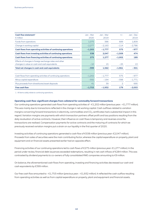| Cash flow statement <sup>1</sup><br>$\epsilon$ million                                                  | Jan - Mar<br>2020 | Jan – Mar<br>2019 | $+/-$    | $Jan - Dec$<br>2019 |
|---------------------------------------------------------------------------------------------------------|-------------------|-------------------|----------|---------------------|
| Funds from operations                                                                                   | 1,075             | 386               | 689      | 1,809               |
| Change in working capital                                                                               | $-2,277$          | $-2,163$          | $-114$   | $-2,786$            |
| Cash flows from operating activities of continuing operations                                           | $-1,202$          | $-1,777$          | 575      | $-977$              |
| Cash flows from investing activities of continuing operations                                           | 538               | 2,047             | $-1,509$ | 474                 |
| Cash flows from financing activities of continuing operations                                           | 275               | 1,277             | $-1,002$ | 189                 |
| Effects of changes in foreign exchange rates and other<br>changes in value on cash and cash equivalents | $-10$             | 15                | $-25$    | 13                  |
| Total net changes in cash and cash equivalents                                                          | $-399$            | 1,562             | $-1,961$ | $-301$              |
|                                                                                                         |                   |                   |          |                     |
| Cash flows from operating activities of continuing operations                                           | $-1,202$          | $-1,777$          | 575      | $-977$              |
| Minus capital expenditure                                                                               | $-592$            | $-194$            | $-398$   | $-1,771$            |
| Plus proceeds from divestitures/asset disposals                                                         | 41                | 39                | 2        | 695                 |
| <b>Free cash flow</b>                                                                                   | $-1,753$          | $-1,932$          | 179      | $-2,053$            |

1 All items solely relate to continuing operations.

#### **Operating cash flow: significant charges from collateral for commodity forward transactions**

Our continuing operations generated cash flows from operating activities of -€1,202 million (previous year: -€1,777 million). This was mainly due to transactions reflected in the change in net working capital. Cash outflows related to variation margins concerning forward transactions in electricity, commodities and  $CO<sub>2</sub>$  certificates had a substantial impact in this regard. Variation margins are payments with which transaction partners offset profit and loss positions resulting from the daily revaluation of active contracts. However, their influence on cash flows is temporary and reverses once the transactions are realised. Compensation payments for active contracts and the maturing of contracts for which we previously received variation margins put a strain on our liquidity in the first quarter of 2020.

Investing activities of continuing operations generated a cash flow of €538 million (previous year: €2,047 million). Proceeds from sales of securities were the main contributing factor, whereas the capital expenditure on property, plant and equipment and on financial assets presented earlier had an opposite effect.

Financing activities of our continuing operations led to cash flows of €275 million (previous year: €1,277 million). In the period under review, financial debt issuances exceeded redemptions, resulting in net cash inflows of €284 million. This was contrasted by dividend payments to co-owners of fully consolidated RWE companies amounting to €9 million.

On balance, the aforementioned cash flows from operating, investing and financing activities decreased our cash and cash equivalents by €399 million.

Our free cash flow amounted to – €1,753 million (previous year: – €1,932 million). It reflected the cash outflow resulting from operating activities as well as from capital expenditure on property, plant and equipment and financial assets.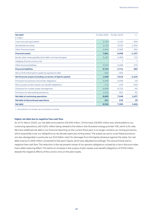| Net debt <sup>1</sup>                                         | 31 Mar 2020 | 31 Dec 2019    | $+/-$    |
|---------------------------------------------------------------|-------------|----------------|----------|
| $\epsilon$ million                                            |             |                |          |
| Cash and cash equivalents                                     | 2,793       | 3,192          | $-399$   |
| Marketable securities                                         | 2,123       | 3.523          | $-1.400$ |
| Other financial assets                                        | 2,945       | 2.383          | 562      |
| <b>Financial assets</b>                                       | 7,861       | 9,098          | $-1,237$ |
| Bonds, other notes payable, bank debt, commercial paper       | 3,181       | 2,466          | 715      |
| Hedging of bond currency risk                                 |             | $\overline{7}$ | $-7$     |
| Other financial liabilities                                   | 3,543       | 3,268          | 275      |
| <b>Financial liabilities</b>                                  | 6,724       | 5.741          | 983      |
| Minus 50% of the hybrid capital recognised as debt            | $-562$      | $-562$         |          |
| Net financial assets (including correction of hybrid capital) | 1,699       | 3,919          | $-2,220$ |
| Provisions for pensions and similar obligations               | 3,406       | 3,446          | $-40$    |
| Minus surplus of plan assets over benefit obligations         | $-712$      | $-153$         | $-559$   |
| Provisions for nuclear waste management                       | 6,658       | 6.723          | $-65$    |
| Provisions for dismantling wind farms                         | 1,032       | 951            | 81       |
| Net debt of continuing operations                             | 8,685       | 7,048          | 1,637    |
| Net debt of discontinued operations                           | 261         | 232            | 29       |
| Net debt                                                      | 8,946       | 7.280          | 1,666    |

1 New definition of net debt: see commentary in the text.

#### **Higher net debt due to negative free cash flow**

As of 31 March 2020, our net debt amounted to €8,946 million. Of this total, €8,685 million was attributable to our continuing operations, with €261 million being related to the stake in the Slovakian energy provider VSE, which is for sale. We have redefined net debt in our financial reporting on the current fiscal year. It no longer contains our mining provisions, which essentially cover our obligations to recultivate opencast mining areas. The assets we use to cover these provisions are also disregarded, in particular our €2.6 billion claim for damages from the lignite phaseout against the state. Our net debt rose by €1,666 million compared to last year's figure, which was adjusted accordingly. This was primarily due to negative free cash flow. The reduction in the net present values of our pension obligations caused by a rise in discount rates had a debt-reducing effect. This led to an increase in the surplus of plan assets over benefit obligations of €559 million despite the negative effects of the corona crisis on the plan assets.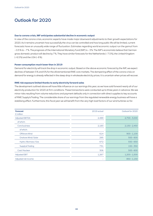## Outlook for 2020

#### **Due to corona crisis, IMF anticipates substantial decline in economic output**

In view of the corona crisis, economic experts have made major downward adjustments to their growth expectations for 2020. As it remains uncertain how successfully the virus can be controlled and how long public life will be limited, current forecasts have an unusually wide range of fluctuation. Estimates regarding world economic output run the gamut from – 0.5 % to – 7 %. The prognosis of the International Monetary Fund (IMF) is – 3 %. The IMF's economists believe that German gross domestic product will decline by 7 %. They have similar forecasts for the Netherlands (– 7.5 %), the United Kingdom (– 6.5 %) and the USA (– 6 %).

#### **Power consumption much lower than in 2019**

Demand for electricity will track the drop in economic output. Based on the above economic forecast by the IMF, we expect declines of between 5 % and 6 % for the aforementioned RWE core markets. The dampening effect of the corona crisis on demand for energy is already reflected in the steep drop in wholesale electricity prices. It is uncertain when prices will recover.

#### **RWE risk exposure limited thanks to early electricity forward sales**

The development outlined above will have little influence on our earnings this year, as we have sold forward nearly all of our electricity production for 2020 at firm conditions. These transactions were conducted up to three years in advance. We see minor risks resulting from volume reductions and payment defaults only in connection with direct supplies to key accounts of RWE Supply & Trading. The considerable share of our earnings from the regulated renewable energy business will have a stabilising effect. Furthermore, this fiscal year we will benefit from the very high load factors of our wind turbines so far.

| <b>Forecast</b><br>$\epsilon$ million | 2019 actual | Outlook for 2020 |
|---------------------------------------|-------------|------------------|
| <b>Adjusted EBITDA</b>                | 2,489       | $2,700 - 3,000$  |
| of which:                             |             |                  |
| Core business                         | 2,183       | $2,150 - 2,450$  |
| of which:                             |             |                  |
| Offshore Wind                         | 614         | $900 - 1,100$    |
| Onshore Wind/Solar                    | 295         | $500 - 600$      |
| Hydro / Biomass / Gas                 | 672         | $550 - 650$      |
| Supply & Trading                      | 731         | $150 - 350$      |
| Coal/Nuclear                          | 306         | $500 - 600$      |
| <b>Adjusted EBIT</b>                  | 1,267       | $1,200 - 1,500$  |
| Adjusted net income                   | -           | $850 - 1,150$    |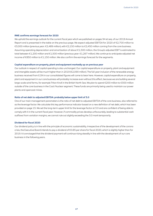#### **RWE confirms earnings forecast for 2020**

We uphold the earnings outlook for the current fiscal year which we published on pages 94 et seq. of our 2019 Annual Report and is presented in the table on the previous page. We expect adjusted EBITDA for 2020 of €2,700 million to €3,000 million (previous year: €2,489 million), with €2,150 million to €2,450 million coming from the core business. Assuming operating depreciation and amortisation of about €1,500 million, the Group's adjusted EBIT is estimated to total between €1,200 million and €1,500 million (previous year: €1,267 million). We continue to anticipate adjusted net income of €850 million to €1,150 million. We also confirm the earnings forecast for the segments.

#### **Capital expenditure on property, plant and equipment markedly up on previous year**

Our outlook in respect of capital spending is also unchanged. Our capital expenditure on property, plant and equipment and intangible assets will be much higher than in 2019 (€2,090 million). The full-year inclusion of the renewable energy business received from E.ON in our consolidated figures will come to bear here. However, capital expenditure on property, plant and equipment in our core business will probably increase even without this effect, because we are building several large-scale wind farms, for example Triton Knoll in the British North Sea. We plan to spend €200 million to €300 million outside of the core business in the Coal / Nuclear segment. These funds are primarily being used to maintain our power plants and opencast mines.

#### **Ratio of net debt to adjusted EBITDA: probably below upper limit of 3.0**

One of our main management parameters is the ratio of net debt to adjusted EBITDA of the core business, also referred to as the leverage factor. We calculate this key performance indicator based on a new definition of net debt, which has been provided on page 15. We set the long-term upper limit for the leverage factor at 3.0 and are confident of being able to comply with it in the current fiscal year. However, if commodity prices develop unfavourably, leading to substantial cash outflows from variation margins, we cannot rule out slightly exceeding the 3.0 mark temporarily.

#### **Dividend for fiscal 2020**

Our dividend policy is in line with the principle of economic sustainability. Irrespective of the development of the corona crisis, the Executive Board intends to pay a dividend of €0.85 per share for fiscal 2020, which is slightly higher than for 2019. It is envisaged that the dividend payment will continue rising steadily in line with the development of our core business in the following years.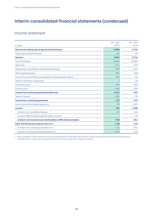## Interim consolidated financial statements (condensed)

## Income statement

|                                                                 | Jan - Mar    | $Jan - Mar$ |
|-----------------------------------------------------------------|--------------|-------------|
| $\epsilon$ million                                              | 2020         | 20191       |
| Revenue (including natural gas tax/electricity tax)             | 3,858        | 3,755       |
| Natural gas tax/electricity tax                                 | $-55$        | $-39$       |
| <b>Revenue</b>                                                  | 3,803        | 3,716       |
| Cost of materials                                               | $-2,064$     | $-2,666$    |
| Staff costs                                                     | $-571$       | $-523$      |
| Depreciation, amortisation and impairment losses                | $-358$       | $-254$      |
| Other operating result                                          | 460          | 188         |
| Income from investments accounted for using the equity method   | 109          | 62          |
| Other income from investments                                   | $\mathbf{1}$ | 29          |
| <b>Financial income</b>                                         | 439          | 200         |
| Finance costs                                                   | $-806$       | $-299$      |
| Income from continuing operations before tax                    | 1,013        | 453         |
| Taxes on income                                                 | $-290$       | $-78$       |
| <b>Income from continuing operations</b>                        | 723          | 375         |
| Income from discontinued operations                             | 30           | 1,013       |
| Income                                                          | 753          | 1,388       |
| of which: non-controlling interests                             | 25           | 412         |
| of which: RWE AG hybrid capital investors' interest             |              | 15          |
| of which: net income/income attributable to RWE AG shareholders | 728          | 961         |
| Basic and diluted earnings per share in $\epsilon$              | 1.18         | 1.56        |
| of which: from continuing operations in $\epsilon$              | 1.15         | 0.52        |
| of which: from discontinued operations in €                     | 0.03         | 1.04        |

1 Figures restated: in the first quarter of 2019, the implementation of the failed own use IFRS IC agenda decision drove down revenue and the cost of materials by €153 million each; see page 116 of the 2019 Annual Report for related commentary.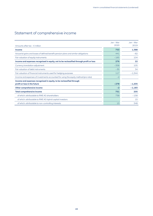# Statement of comprehensive income

|                                                                                         | Jan – Mar | Jan - Mar |
|-----------------------------------------------------------------------------------------|-----------|-----------|
| Amounts after tax - $\epsilon$ million                                                  | 2020      | 2019      |
| Income                                                                                  | 753       | 1,388     |
| Actuarial gains and losses of defined benefit pension plans and similar obligations     | 441       | $-82$     |
| Fair valuation of equity instruments                                                    | $-165$    | 104       |
| Income and expenses recognised in equity, not to be reclassified through profit or loss | 276       | 22        |
| Currency translation adjustment                                                         | $-358$    | 105       |
| Fair valuation of debt instruments                                                      | $-35$     | 34        |
| Fair valuation of financial instruments used for hedging purposes                       | 117       | $-1,344$  |
| Income and expenses of investments accounted for using the equity method (pro rata)     | $-2$      |           |
| Income and expenses recognised in equity, to be reclassified through                    |           |           |
| profit or loss in the future                                                            | $-278$    | $-1,205$  |
| Other comprehensive income                                                              | $-2$      | $-1,183$  |
| <b>Total comprehensive income</b>                                                       | 751       | 205       |
| of which: attributable to RWE AG shareholders                                           | 738       | $-158$    |
| of which: attributable to RWE AG hybrid capital investors                               |           | 15        |
| of which: attributable to non-controlling interests                                     | 13        | 348       |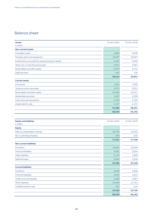## Balance sheet

| <b>Assets</b>                                     | 31 Mar 2020 | 31 Dec 2019 |
|---------------------------------------------------|-------------|-------------|
| $\epsilon$ million                                |             |             |
| <b>Non-current assets</b>                         |             |             |
| Intangible assets                                 | 4,699       | 4,809       |
| Property, plant and equipment                     | 19,297      | 19,097      |
| Investments accounted for using the equity method | 3,187       | 3,236       |
| Other non-current financial assets                | 4,314       | 4,391       |
| Receivables and other assets                      | 4,574       | 3,712       |
| Deferred taxes                                    | 543         | 706         |
|                                                   | 36,614      | 35,951      |
| <b>Current assets</b>                             |             |             |
| Inventories                                       | 1,065       | 1,585       |
| Trade accounts receivable                         | 3,272       | 3,621       |
| Receivables and other assets                      | 21,582      | 15,311      |
| Marketable securities                             | 1,867       | 3,258       |
| Cash and cash equivalents                         | 2,793       | 3,192       |
| Assets held for sale                              | 1,347       | 1,274       |
|                                                   | 31,926      | 28,241      |
|                                                   | 68,540      | 64,192      |

| <b>Equity and liabilities</b><br>$\epsilon$ million | 31 Mar 2020 | 31 Dec 2019 |
|-----------------------------------------------------|-------------|-------------|
|                                                     |             |             |
| <b>Equity</b>                                       |             |             |
| <b>RWE AG shareholders' interest</b>                | 16,745      | 16,945      |
| Non-controlling interests                           | 506         | 503         |
|                                                     | 17,251      | 17,448      |
| <b>Non-current liabilities</b>                      |             |             |
| Provisions                                          | 18,965      | 18,936      |
| <b>Financial liabilities</b>                        | 4,091       | 3,924       |
| Other liabilities                                   | 2,144       | 1,899       |
| Deferred taxes                                      | 2,060       | 2,259       |
|                                                     | 27,260      | 27,018      |
| <b>Current liabilities</b>                          |             |             |
| Provisions                                          | 2,655       | 2,638       |
| <b>Financial liabilities</b>                        | 2,633       | 1,810       |
| Trade accounts payable                              | 2,286       | 2,987       |
| Other liabilities                                   | 15,948      | 11,781      |
| Liabilities held for sale                           | 507         | 510         |
|                                                     | 24,029      | 19,726      |
|                                                     | 68,540      | 64,192      |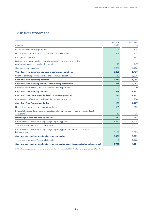## Cash flow statement

| $\epsilon$ million                                                                                                  | Jan - Mar<br>2020 | Jan - Mar<br>2019 |
|---------------------------------------------------------------------------------------------------------------------|-------------------|-------------------|
| Income from continuing operations                                                                                   | 723               | 375               |
| Depreciation, amortisation and impairment losses/write-backs                                                        | 304               | 255               |
| Changes in provisions                                                                                               | 35                | $-97$             |
| Deferred taxes/non-cash income and expenses/income from disposal of<br>non-current assets and marketable securities | 13                | $-147$            |
| Changes in working capital                                                                                          | $-2,277$          | $-2,163$          |
| Cash flows from operating activities of continuing operations                                                       | $-1,202$          | $-1,777$          |
| Cash flows from operating activities of discontinued operations                                                     | $-11$             | $-1,278$          |
| <b>Cash flows from operating activities</b>                                                                         | $-1,213$          | $-3,055$          |
| Cash flows from investing activities of continuing operations <sup>1</sup>                                          | 538               | 2,047             |
| Cash flows from investing activities of discontinued operations                                                     | -9                | $-200$            |
| <b>Cash flows from investing activities</b>                                                                         | 529               | 1,847             |
| Cash flows from financing activities of continuing operations                                                       | 275               | 1,277             |
| Cash flows from financing activities of discontinued operations                                                     | 8                 | 200               |
| <b>Cash flows from financing activities</b>                                                                         | 283               | 1.477             |
| Net cash change in cash and cash equivalents                                                                        | $-401$            | 269               |
| Effect of changes in foreign exchange rates and other changes in value on cash and cash<br>equivalents              | $-10$             | 15                |
| Net change in cash and cash equivalents                                                                             | $-411$            | 284               |
| Cash and cash equivalents at beginning of reporting period                                                          | 3,212             | 5,225             |
| of which: reported as 'Assets held for sale'                                                                        | 20                | 1,702             |
| Cash and cash equivalents at beginning of reporting period as per the consolidated<br>balance sheet                 | 3.192             | 3.523             |
| Cash and cash equivalents at end of reporting period                                                                | 2,801             | 5,509             |
| of which: reported as 'Assets held for sale'                                                                        | 8                 | 1,125             |
| Cash and cash equivalents at end of reporting period as per the consolidated balance sheet                          | 2,793             | 4,384             |

1 After the initial/subsequent transfer to plan assets in the amount of €100 million (prior-year period: €42 million).